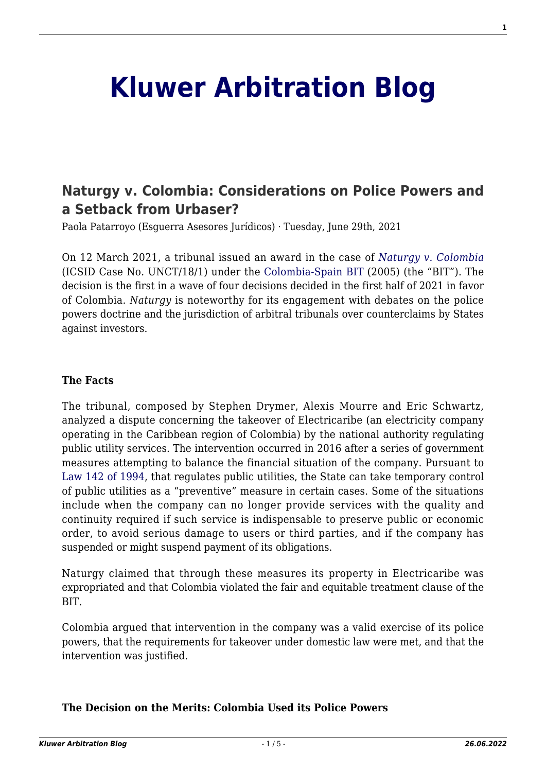# **[Kluwer Arbitration Blog](http://arbitrationblog.kluwerarbitration.com/)**

# **[Naturgy v. Colombia: Considerations on Police Powers and](http://arbitrationblog.kluwerarbitration.com/2021/06/29/naturgy-v-colombia-considerations-on-police-powers-and-a-setback-from-urbaser/) [a Setback from Urbaser?](http://arbitrationblog.kluwerarbitration.com/2021/06/29/naturgy-v-colombia-considerations-on-police-powers-and-a-setback-from-urbaser/)**

Paola Patarroyo (Esguerra Asesores Jurídicos) · Tuesday, June 29th, 2021

On 12 March 2021, a tribunal issued an award in the case of *[Naturgy v. Colombia](https://jusmundi.com/en/document/decision/es-naturgy-energy-group-s-a-and-naturgy-electricidad-colombia-s-l-formerly-gas-natural-sdg-s-a-and-gas-natural-fenosa-electricidad-colombia-s-l-v-republic-of-colombia-laudo-friday-12th-march-2021)* (ICSID Case No. UNCT/18/1) under the [Colombia-Spain BIT](https://investmentpolicy.unctad.org/international-investment-agreements/treaty-files/801/download) (2005) (the "BIT"). The decision is the first in a wave of four decisions decided in the first half of 2021 in favor of Colombia. *Naturgy* is noteworthy for its engagement with debates on the police powers doctrine and the jurisdiction of arbitral tribunals over counterclaims by States against investors.

#### **The Facts**

The tribunal, composed by Stephen Drymer, Alexis Mourre and Eric Schwartz, analyzed a dispute concerning the takeover of Electricaribe (an electricity company operating in the Caribbean region of Colombia) by the national authority regulating public utility services. The intervention occurred in 2016 after a series of government measures attempting to balance the financial situation of the company. Pursuant to [Law 142 of 1994,](http://www.secretariasenado.gov.co/senado/basedoc/ley_0142_1994.html) that regulates public utilities, the State can take temporary control of public utilities as a "preventive" measure in certain cases. Some of the situations include when the company can no longer provide services with the quality and continuity required if such service is indispensable to preserve public or economic order, to avoid serious damage to users or third parties, and if the company has suspended or might suspend payment of its obligations.

Naturgy claimed that through these measures its property in Electricaribe was expropriated and that Colombia violated the fair and equitable treatment clause of the BIT.

Colombia argued that intervention in the company was a valid exercise of its police powers, that the requirements for takeover under domestic law were met, and that the intervention was justified.

# **The Decision on the Merits: Colombia Used its Police Powers**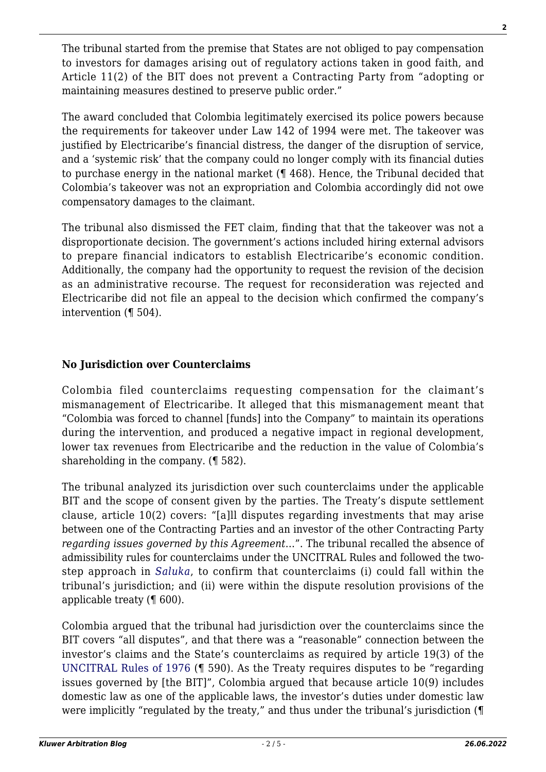The tribunal started from the premise that States are not obliged to pay compensation to investors for damages arising out of regulatory actions taken in good faith, and Article 11(2) of the BIT does not prevent a Contracting Party from "adopting or maintaining measures destined to preserve public order."

The award concluded that Colombia legitimately exercised its police powers because the requirements for takeover under Law 142 of 1994 were met. The takeover was justified by Electricaribe's financial distress, the danger of the disruption of service, and a 'systemic risk' that the company could no longer comply with its financial duties to purchase energy in the national market (¶ 468). Hence, the Tribunal decided that Colombia's takeover was not an expropriation and Colombia accordingly did not owe compensatory damages to the claimant.

The tribunal also dismissed the FET claim, finding that that the takeover was not a disproportionate decision. The government's actions included hiring external advisors to prepare financial indicators to establish Electricaribe's economic condition. Additionally, the company had the opportunity to request the revision of the decision as an administrative recourse. The request for reconsideration was rejected and Electricaribe did not file an appeal to the decision which confirmed the company's intervention (¶ 504).

# **No Jurisdiction over Counterclaims**

Colombia filed counterclaims requesting compensation for the claimant's mismanagement of Electricaribe. It alleged that this mismanagement meant that "Colombia was forced to channel [funds] into the Company" to maintain its operations during the intervention, and produced a negative impact in regional development, lower tax revenues from Electricaribe and the reduction in the value of Colombia's shareholding in the company. (¶ 582).

The tribunal analyzed its jurisdiction over such counterclaims under the applicable BIT and the scope of consent given by the parties. The Treaty's dispute settlement clause, article 10(2) covers: "[a]ll disputes regarding investments that may arise between one of the Contracting Parties and an investor of the other Contracting Party *regarding issues governed by this Agreement*…". The tribunal recalled the absence of admissibility rules for counterclaims under the UNCITRAL Rules and followed the twostep approach in *[Saluka](https://www.italaw.com/sites/default/files/case-documents/ita0739.pdf)*, to confirm that counterclaims (i) could fall within the tribunal's jurisdiction; and (ii) were within the dispute resolution provisions of the applicable treaty (¶ 600).

Colombia argued that the tribunal had jurisdiction over the counterclaims since the BIT covers "all disputes", and that there was a "reasonable" connection between the investor's claims and the State's counterclaims as required by article 19(3) of the [UNCITRAL Rules of 1976](https://uncitral.un.org/sites/uncitral.un.org/files/media-documents/uncitral/en/arb-rules.pdf) (¶ 590). As the Treaty requires disputes to be "regarding issues governed by [the BIT]", Colombia argued that because article 10(9) includes domestic law as one of the applicable laws, the investor's duties under domestic law were implicitly "regulated by the treaty," and thus under the tribunal's jurisdiction (¶

**2**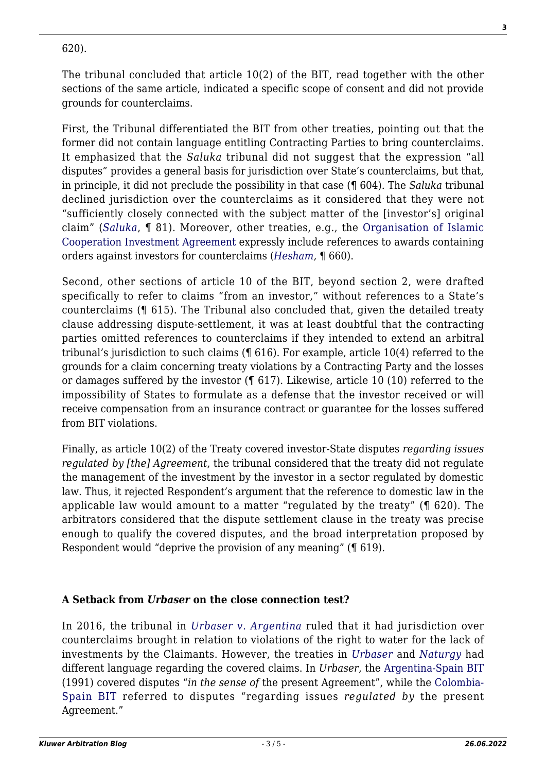### 620).

The tribunal concluded that article 10(2) of the BIT, read together with the other sections of the same article, indicated a specific scope of consent and did not provide grounds for counterclaims.

First, the Tribunal differentiated the BIT from other treaties, pointing out that the former did not contain language entitling Contracting Parties to bring counterclaims. It emphasized that the *Saluka* tribunal did not suggest that the expression "all disputes" provides a general basis for jurisdiction over State's counterclaims, but that, in principle, it did not preclude the possibility in that case (¶ 604). The *Saluka* tribunal declined jurisdiction over the counterclaims as it considered that they were not "sufficiently closely connected with the subject matter of the [investor's] original claim" (*[Saluka](https://www.italaw.com/sites/default/files/case-documents/ita0739.pdf)*, ¶ 81). Moreover, other treaties, e.g., the [Organisation of Islamic](https://www.italaw.com/sites/default/files/laws/italaw6203.pdf) [Cooperation Investment Agreement](https://www.italaw.com/sites/default/files/laws/italaw6203.pdf) expressly include references to awards containing orders against investors for counterclaims (*[Hesham,](https://www.italaw.com/sites/default/files/case-documents/italaw4164.pdf)* ¶ 660).

Second, other sections of article 10 of the BIT, beyond section 2, were drafted specifically to refer to claims "from an investor," without references to a State's counterclaims (¶ 615). The Tribunal also concluded that, given the detailed treaty clause addressing dispute-settlement, it was at least doubtful that the contracting parties omitted references to counterclaims if they intended to extend an arbitral tribunal's jurisdiction to such claims (¶ 616). For example, article 10(4) referred to the grounds for a claim concerning treaty violations by a Contracting Party and the losses or damages suffered by the investor (¶ 617). Likewise, article 10 (10) referred to the impossibility of States to formulate as a defense that the investor received or will receive compensation from an insurance contract or guarantee for the losses suffered from BIT violations.

Finally, as article 10(2) of the Treaty covered investor-State disputes *regarding issues regulated by [the] Agreement*, the tribunal considered that the treaty did not regulate the management of the investment by the investor in a sector regulated by domestic law. Thus, it rejected Respondent's argument that the reference to domestic law in the applicable law would amount to a matter "regulated by the treaty" (¶ 620). The arbitrators considered that the dispute settlement clause in the treaty was precise enough to qualify the covered disputes, and the broad interpretation proposed by Respondent would "deprive the provision of any meaning" (¶ 619).

# **A Setback from** *Urbaser* **on the close connection test?**

In 2016, the tribunal in *[Urbaser v. Argentina](https://www.italaw.com/cases/1144)* ruled that it had jurisdiction over counterclaims brought in relation to violations of the right to water for the lack of investments by the Claimants. However, the treaties in *[Urbaser](https://www.italaw.com/cases/1144)* and *[Naturgy](https://jusmundi.com/en/document/decision/es-naturgy-energy-group-s-a-and-naturgy-electricidad-colombia-s-l-formerly-gas-natural-sdg-s-a-and-gas-natural-fenosa-electricidad-colombia-s-l-v-republic-of-colombia-laudo-friday-12th-march-2021)* had different language regarding the covered claims. In *Urbaser*, the [Argentina-Spain BIT](https://investmentpolicy.unctad.org/international-investment-agreements/treaty-files/119/download) (1991) covered disputes "*in the sense of* the present Agreement", while the [Colombia-](https://investmentpolicy.unctad.org/international-investment-agreements/treaty-files/801/download)[Spain BIT](https://investmentpolicy.unctad.org/international-investment-agreements/treaty-files/801/download) referred to disputes "regarding issues *regulated by* the present Agreement."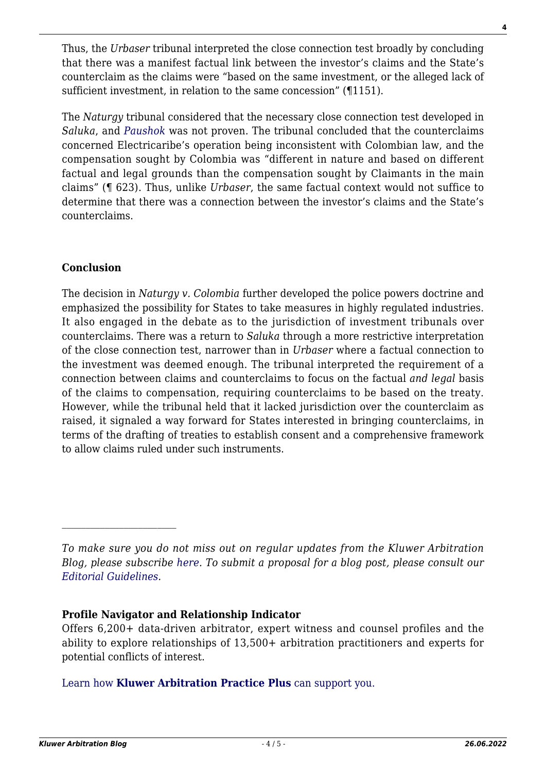Thus, the *Urbaser* tribunal interpreted the close connection test broadly by concluding that there was a manifest factual link between the investor's claims and the State's counterclaim as the claims were "based on the same investment, or the alleged lack of sufficient investment, in relation to the same concession" (¶1151).

The *Naturgy* tribunal considered that the necessary close connection test developed in *Saluka*, and *[Paushok](https://www.italaw.com/cases/816)* was not proven. The tribunal concluded that the counterclaims concerned Electricaribe's operation being inconsistent with Colombian law, and the compensation sought by Colombia was "different in nature and based on different factual and legal grounds than the compensation sought by Claimants in the main claims" (¶ 623). Thus, unlike *Urbaser*, the same factual context would not suffice to determine that there was a connection between the investor's claims and the State's counterclaims.

# **Conclusion**

 $\mathcal{L}_\text{max}$ 

The decision in *Naturgy v. Colombia* further developed the police powers doctrine and emphasized the possibility for States to take measures in highly regulated industries. It also engaged in the debate as to the jurisdiction of investment tribunals over counterclaims. There was a return to *Saluka* through a more restrictive interpretation of the close connection test, narrower than in *Urbaser* where a factual connection to the investment was deemed enough. The tribunal interpreted the requirement of a connection between claims and counterclaims to focus on the factual *and legal* basis of the claims to compensation, requiring counterclaims to be based on the treaty. However, while the tribunal held that it lacked jurisdiction over the counterclaim as raised, it signaled a way forward for States interested in bringing counterclaims, in terms of the drafting of treaties to establish consent and a comprehensive framework to allow claims ruled under such instruments.

# **Profile Navigator and Relationship Indicator**

Offers 6,200+ data-driven arbitrator, expert witness and counsel profiles and the ability to explore relationships of 13,500+ arbitration practitioners and experts for potential conflicts of interest.

[Learn how](https://www.wolterskluwer.com/en/solutions/kluwerarbitration/practiceplus?utm_source=arbitrationblog&utm_medium=articleCTA&utm_campaign=article-banner) **[Kluwer Arbitration Practice Plus](https://www.wolterskluwer.com/en/solutions/kluwerarbitration/practiceplus?utm_source=arbitrationblog&utm_medium=articleCTA&utm_campaign=article-banner)** [can support you.](https://www.wolterskluwer.com/en/solutions/kluwerarbitration/practiceplus?utm_source=arbitrationblog&utm_medium=articleCTA&utm_campaign=article-banner)

*To make sure you do not miss out on regular updates from the Kluwer Arbitration Blog, please subscribe [here](http://arbitrationblog.kluwerarbitration.com/newsletter/). To submit a proposal for a blog post, please consult our [Editorial Guidelines.](http://arbitrationblog.kluwerarbitration.com/editorial-guidelines/)*